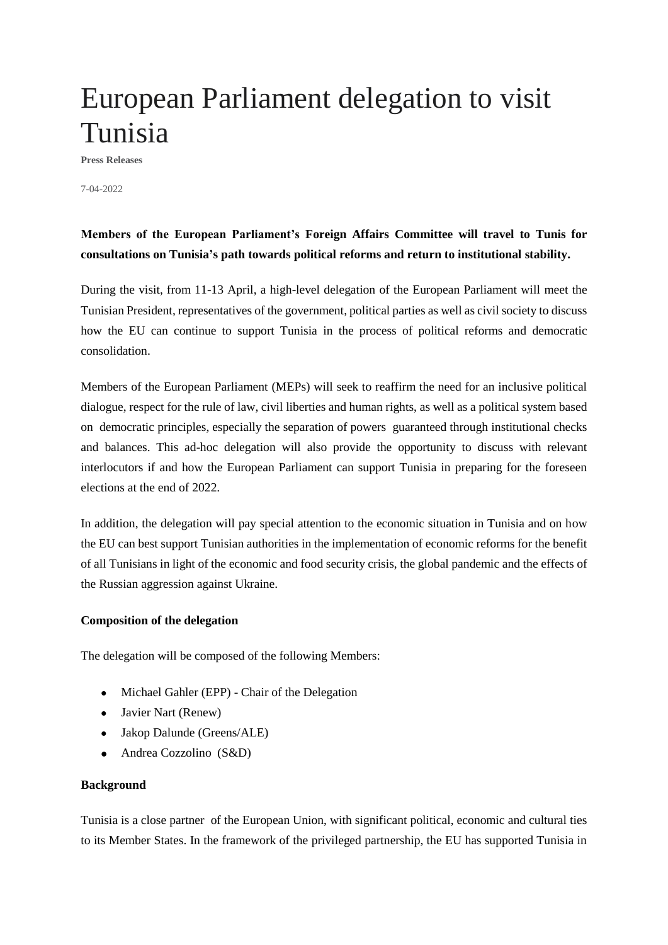# European Parliament delegation to visit Tunisia

**Press Releases**

7-04-2022

## **Members of the European Parliament's Foreign Affairs Committee will travel to Tunis for consultations on Tunisia's path towards political reforms and return to institutional stability.**

During the visit, from 11-13 April, a high-level delegation of the European Parliament will meet the Tunisian President, representatives of the government, political parties as well as civil society to discuss how the EU can continue to support Tunisia in the process of political reforms and democratic consolidation.

Members of the European Parliament (MEPs) will seek to reaffirm the need for an inclusive political dialogue, respect for the rule of law, civil liberties and human rights, as well as a political system based on democratic principles, especially the separation of powers guaranteed through institutional checks and balances. This ad-hoc delegation will also provide the opportunity to discuss with relevant interlocutors if and how the European Parliament can support Tunisia in preparing for the foreseen elections at the end of 2022.

In addition, the delegation will pay special attention to the economic situation in Tunisia and on how the EU can best support Tunisian authorities in the implementation of economic reforms for the benefit of all Tunisians in light of the economic and food security crisis, the global pandemic and the effects of the Russian aggression against Ukraine.

#### **Composition of the delegation**

The delegation will be composed of the following Members:

- Michael Gahler (EPP) Chair of the Delegation
- Javier Nart (Renew)
- Jakop Dalunde (Greens/ALE)
- Andrea Cozzolino (S&D)

#### **Background**

Tunisia is a close partner of the European Union, with significant political, economic and cultural ties to its Member States. In the framework of the privileged partnership, the EU has supported Tunisia in